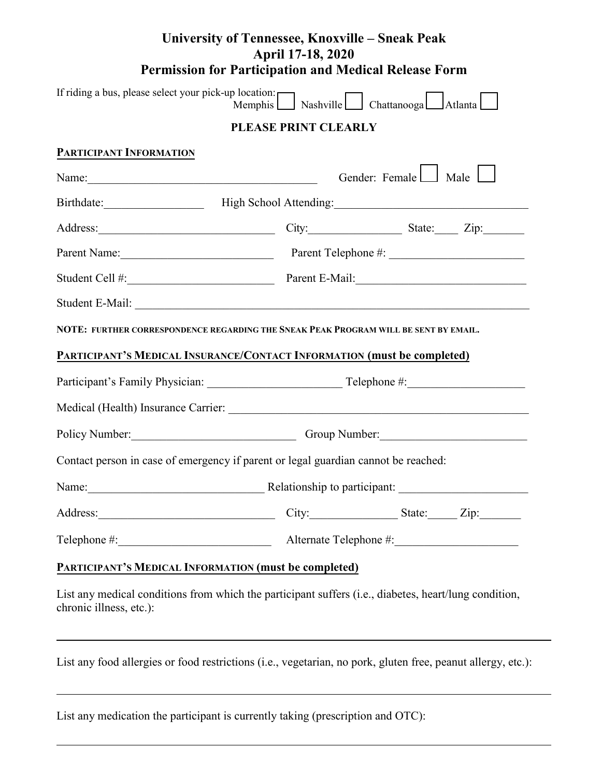## **University of Tennessee, Knoxville – Sneak Peak April 17-18, 2020 Permission for Participation and Medical Release Form**

|                                                              | If riding a bus, please select your pick-up location:<br>Memphis Nashville Chattanooga Atlanta        |  |  |
|--------------------------------------------------------------|-------------------------------------------------------------------------------------------------------|--|--|
|                                                              | PLEASE PRINT CLEARLY                                                                                  |  |  |
| PARTICIPANT INFORMATION                                      |                                                                                                       |  |  |
|                                                              | Gender: Female Male                                                                                   |  |  |
|                                                              | Birthdate: High School Attending:                                                                     |  |  |
|                                                              | Address: <u>City:</u> City: State: Zip:                                                               |  |  |
|                                                              | Parent Name: Parent Telephone #:                                                                      |  |  |
|                                                              |                                                                                                       |  |  |
|                                                              | Student E-Mail:                                                                                       |  |  |
|                                                              | NOTE: FURTHER CORRESPONDENCE REGARDING THE SNEAK PEAK PROGRAM WILL BE SENT BY EMAIL.                  |  |  |
|                                                              | PARTICIPANT'S MEDICAL INSURANCE/CONTACT INFORMATION (must be completed)                               |  |  |
|                                                              |                                                                                                       |  |  |
|                                                              |                                                                                                       |  |  |
|                                                              | Policy Number: Croup Number:                                                                          |  |  |
|                                                              | Contact person in case of emergency if parent or legal guardian cannot be reached:                    |  |  |
|                                                              | Name: <u>Name:</u> Relationship to participant:                                                       |  |  |
| Address:                                                     | City:<br>State:<br>Zip:                                                                               |  |  |
|                                                              |                                                                                                       |  |  |
| <b>PARTICIPANT'S MEDICAL INFORMATION (must be completed)</b> |                                                                                                       |  |  |
| chronic illness, etc.):                                      | List any medical conditions from which the participant suffers (i.e., diabetes, heart/lung condition, |  |  |

List any food allergies or food restrictions (i.e., vegetarian, no pork, gluten free, peanut allergy, etc.):

| List any medication the participant is currently taking (prescription and OTC): |  |  |
|---------------------------------------------------------------------------------|--|--|
|                                                                                 |  |  |